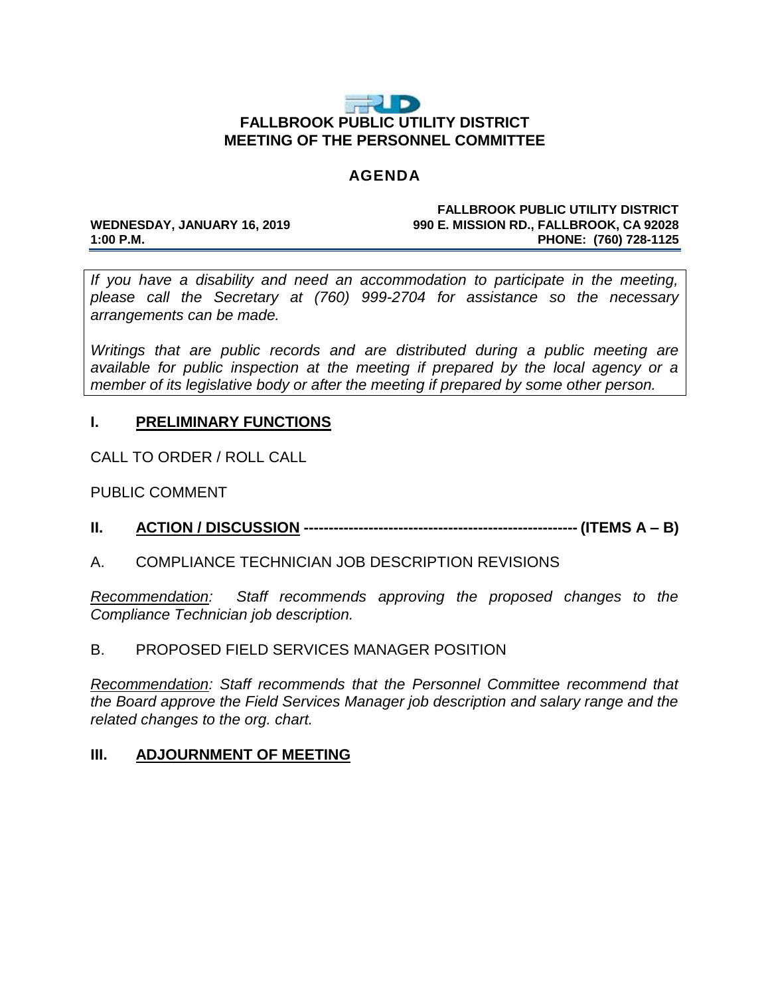

#### **AGENDA**

#### **FALLBROOK PUBLIC UTILITY DISTRICT WEDNESDAY, JANUARY 16, 2019 990 E. MISSION RD., FALLBROOK, CA 92028 1:00 P.M. PHONE: (760) 728-1125**

*If you have a disability and need an accommodation to participate in the meeting, please call the Secretary at (760) 999-2704 for assistance so the necessary arrangements can be made.*

*Writings that are public records and are distributed during a public meeting are available for public inspection at the meeting if prepared by the local agency or a member of its legislative body or after the meeting if prepared by some other person.*

# **I. PRELIMINARY FUNCTIONS**

CALL TO ORDER / ROLL CALL

PUBLIC COMMENT

**II. ACTION / DISCUSSION ------------------------------------------------------- (ITEMS A – B)**

# A. COMPLIANCE TECHNICIAN JOB DESCRIPTION REVISIONS

*Recommendation: Staff recommends approving the proposed changes to the Compliance Technician job description.* 

# B. PROPOSED FIELD SERVICES MANAGER POSITION

*Recommendation: Staff recommends that the Personnel Committee recommend that the Board approve the Field Services Manager job description and salary range and the related changes to the org. chart.*

# **III. ADJOURNMENT OF MEETING**